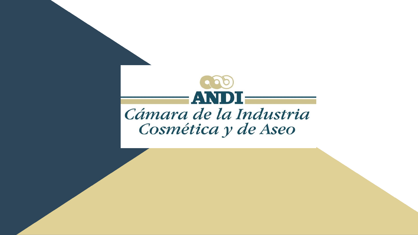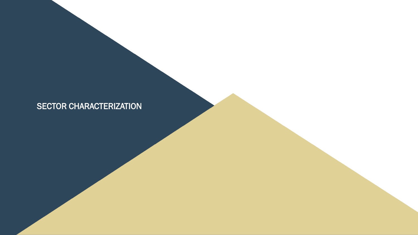# SECTOR CHARACTERIZATION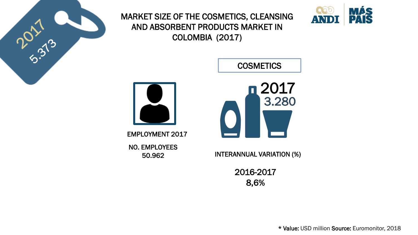

MARKET SIZE OF THE COSMETICS, CLEANSING AND ABSORBENT PRODUCTS MARKET IN COLOMBIA (2017)



**COSMETICS** 



EMPLOYMENT 2017

NO. EMPLOYEES 50.962



INTERANNUAL VARIATION (%)

2016-2017 8,6%

\* Value: USD million Source: Euromonitor, 2018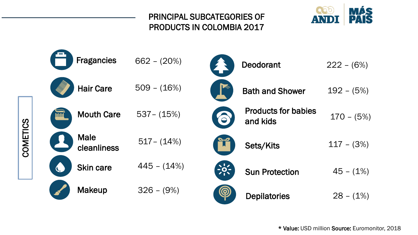## PRINCIPAL SUBCATEGORIES OF PRODUCTS IN COLOMBIA 2017



| <b>Fragancies</b>          | $662 - (20%)$ | <b>Deodorant</b>                              | $222 - (6%)$ |
|----------------------------|---------------|-----------------------------------------------|--------------|
| <b>Hair Care</b>           | $509 - (16%)$ | <b>Bath and Shower</b>                        | $192 - (5%)$ |
| <b>Mouth Care</b>          | $537 - (15%)$ | <b>Products for babies</b><br>YO.<br>and kids | $170 - (5%)$ |
| <b>Male</b><br>cleanliness | $517 - (14%)$ | Sets/Kits                                     | $117 - (3%)$ |
| <b>Skin care</b>           | $445 - (14%)$ | $-9-$<br><b>Sun Protection</b>                | $45 - (1%)$  |
| <b>Makeup</b>              | $326 - (9\%)$ | $\left(  \right)$<br><b>Depilatories</b>      | $28 - (1\%)$ |

COMETICS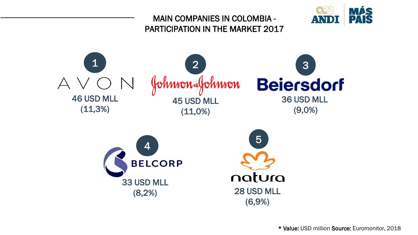## MAIN COMPANIES IN COLOMBIA - PARTICIPATION IN THE MARKET 2017





\* Value: USD million Source: Euromonitor, 2018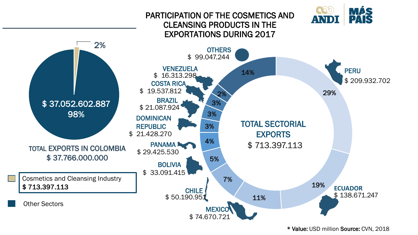#### PARTICIPATION OF THE COSMETICS AND CLEANSING PRODUCTS IN THE EXPORTATIONS DURING 2017



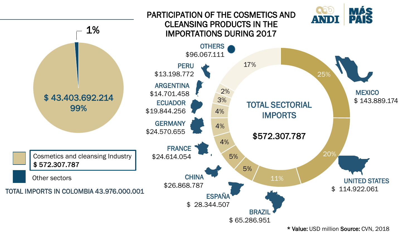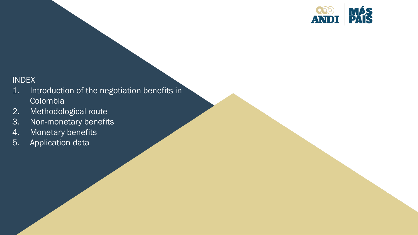

INDEX

- 1. Introduction of the negotiation benefits in Colombia
- 2. Methodological route
- 3. Non-monetary benefits
- 4. Monetary benefits
- 5. Application data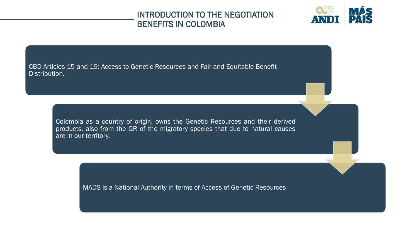#### INTRODUCTION TO THE NEGOTIATION BENEFITS IN COLOMBIA



CBD Articles 15 and 19: Access to Genetic Resources and Fair and Equitable Benefit Distribution.

> Colombia as a country of origin, owns the Genetic Resources and their derived products, also from the GR of the migratory species that due to natural causes are in our territory.

> > MADS is a National Authority in terms of Access of Genetic Resources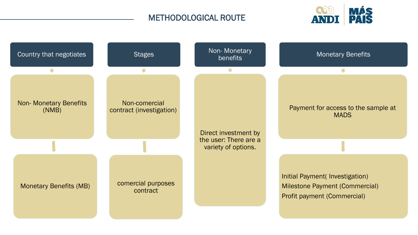### METHODOLOGICAL ROUTE



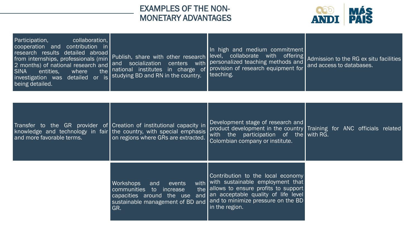#### EXAMPLES OF THE NON-MONETARY ADVANTAGES



| Participation,<br>collaboration,<br>cooperation and contribution in<br>research results detailed abroad<br>from internships, professionals (min<br>2 months) of national research and<br>entities,<br><b>SINA</b><br>where<br>investigation was detailed or is studying BD and RN in the country.<br>being detailed. | Publish, share with other research<br>and socialization<br>centers with<br>the national institutes in charge of                                                                    | In high and medium commitment<br>level, collaborate with offering<br>personalized teaching methods and<br>provision of research equipment for<br>teaching.                                                           | Admission to the RG ex situ facilities<br>and access to databases.    |
|----------------------------------------------------------------------------------------------------------------------------------------------------------------------------------------------------------------------------------------------------------------------------------------------------------------------|------------------------------------------------------------------------------------------------------------------------------------------------------------------------------------|----------------------------------------------------------------------------------------------------------------------------------------------------------------------------------------------------------------------|-----------------------------------------------------------------------|
| and more favorable terms.                                                                                                                                                                                                                                                                                            | Transfer to the GR provider of Creation of institutional capacity in<br>knowledge and technology in fair the country, with special emphasis<br>on regions where GRs are extracted. | Development stage of research and<br>with the participation of the with RG.<br>Colombian company or institute.                                                                                                       | product development in the country Training for ANC officials related |
|                                                                                                                                                                                                                                                                                                                      | <b>Workshops</b><br>events<br>and<br>communities to increase<br>capacities around the use and<br>sustainable management of BD and<br>GR.                                           | Contribution to the local economy<br>with with sustainable employment that<br>the allows to ensure profits to support<br>an acceptable quality of life level<br>and to minimize pressure on the BD<br>in the region. |                                                                       |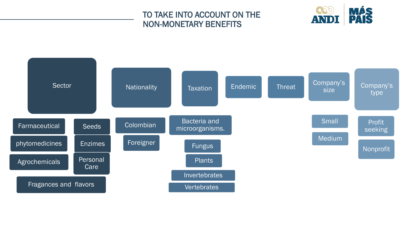#### TO TAKE INTO ACCOUNT ON THE NON-MONETARY BENEFITS



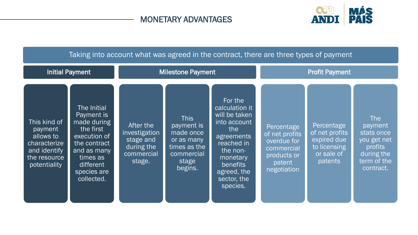## MONETARY ADVANTAGES



| Taking into account what was agreed in the contract, there are three types of payment                |                                                                                                                                                            |                                                                               |                                                                                                        |                                                                                                                                                                             |                                                                                                   |                                                                                      |                                                                                                  |
|------------------------------------------------------------------------------------------------------|------------------------------------------------------------------------------------------------------------------------------------------------------------|-------------------------------------------------------------------------------|--------------------------------------------------------------------------------------------------------|-----------------------------------------------------------------------------------------------------------------------------------------------------------------------------|---------------------------------------------------------------------------------------------------|--------------------------------------------------------------------------------------|--------------------------------------------------------------------------------------------------|
|                                                                                                      | <b>Initial Payment</b>                                                                                                                                     | <b>Milestone Payment</b>                                                      |                                                                                                        | <b>Profit Payment</b>                                                                                                                                                       |                                                                                                   |                                                                                      |                                                                                                  |
| This kind of<br>payment<br>allows to<br>characterize<br>and identify<br>the resource<br>potentiality | The Initial<br>Payment is<br>made during<br>the first<br>execution of<br>the contract<br>and as many<br>times as<br>different<br>species are<br>collected. | After the<br>investigation<br>stage and<br>during the<br>commercial<br>stage. | <b>This</b><br>payment is<br>made once<br>or as many<br>times as the<br>commercial<br>stage<br>begins. | For the<br>calculation it<br>will be taken<br>into account<br>the<br>agreements<br>reached in<br>the non-<br>monetary<br>benefits<br>agreed, the<br>sector, the<br>species. | Percentage<br>of net profits<br>overdue for<br>commercial<br>products or<br>patent<br>negotiation | Percentage<br>of net profits<br>expired due<br>to licensing<br>or sale of<br>patents | The<br>payment<br>stats once<br>you get net<br>profits<br>during the<br>term of the<br>contract. |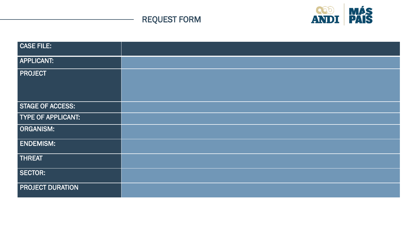

## REQUEST FORM

| CASE FILE:                |  |
|---------------------------|--|
| <b>APPLICANT:</b>         |  |
| <b>PROJECT</b>            |  |
| STAGE OF ACCESS:          |  |
| <b>TYPE OF APPLICANT:</b> |  |
| <b>ORGANISM:</b>          |  |
| <b>ENDEMISM:</b>          |  |
| <b>THREAT</b>             |  |
| SECTOR:                   |  |
| <b>PROJECT DURATION</b>   |  |